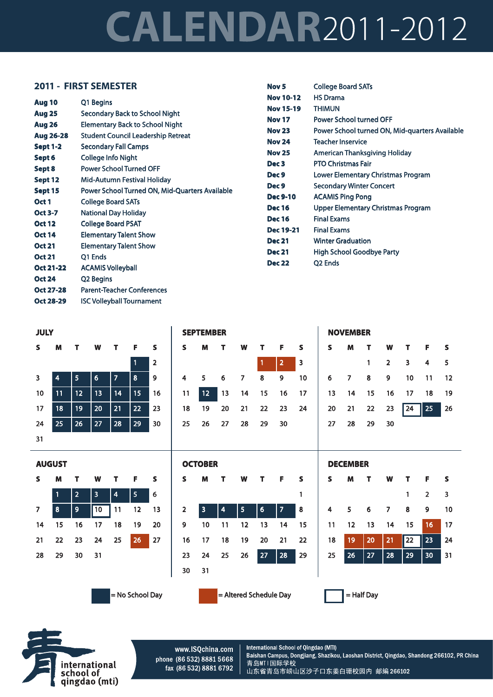## **CALENDAR**2011-2012

Nov<sub>5</sub>

**College Board SATs** 

## 2011 - FIRST SEMESTER

|                                   |                                                                                     | <b>Nov 10-12</b> | <b>HS Drama</b>                                |
|-----------------------------------|-------------------------------------------------------------------------------------|------------------|------------------------------------------------|
| Aug 10                            | Q1 Begins                                                                           | <b>Nov 15-19</b> | <b>THIMUN</b>                                  |
| <b>Aug 25</b>                     | Secondary Back to School Night                                                      | <b>Nov 17</b>    | Power School turned OFF                        |
| <b>Aug 26</b><br><b>Aug 26-28</b> | <b>Elementary Back to School Night</b><br><b>Student Council Leadership Retreat</b> | <b>Nov 23</b>    | Power School turned ON, Mid-quarters Available |
| <b>Sept 1-2</b>                   | <b>Secondary Fall Camps</b>                                                         | <b>Nov 24</b>    | <b>Teacher Inservice</b>                       |
| Sept 6                            | <b>College Info Night</b>                                                           | <b>Nov 25</b>    | American Thanksgiving Holiday                  |
|                                   | <b>Power School Turned OFF</b>                                                      | Dec <sub>3</sub> | <b>PTO Christmas Fair</b>                      |
| Sept 8                            |                                                                                     | Dec 9            | Lower Elementary Christmas Program             |
| Sept 12<br>Sept 15                | Mid-Autumn Festival Holiday<br>Power School Turned ON, Mid-Quarters Available       | Dec 9            | <b>Secondary Winter Concert</b>                |
|                                   |                                                                                     | <b>Dec 9-10</b>  | <b>ACAMIS Ping Pong</b>                        |
| Oct 1                             | <b>College Board SATs</b>                                                           | <b>Dec 16</b>    | Upper Elementary Christmas Program             |
| <b>Oct 3-7</b>                    | <b>National Day Holiday</b>                                                         | <b>Dec 16</b>    | <b>Final Exams</b>                             |
| <b>Oct 12</b>                     | <b>College Board PSAT</b>                                                           | <b>Dec 19-21</b> | <b>Final Exams</b>                             |
| <b>Oct 14</b>                     | <b>Elementary Talent Show</b>                                                       | <b>Dec 21</b>    | <b>Winter Graduation</b>                       |
| <b>Oct 21</b>                     | <b>Elementary Talent Show</b>                                                       | <b>Dec 21</b>    | High School Goodbye Party                      |
| <b>Oct 21</b>                     | Q1 Ends                                                                             |                  |                                                |
| <b>Oct 21-22</b>                  | <b>ACAMIS Volleyball</b>                                                            | <b>Dec 22</b>    | Q <sub>2</sub> Ends                            |
| <b>Oct 24</b>                     | Q2 Begins                                                                           |                  |                                                |
| <b>Oct 27-28</b>                  | <b>Parent-Teacher Conferences</b>                                                   |                  |                                                |

|    | <b>JULY</b> |        |    |    |    |                |  |  |  |  |  |  |
|----|-------------|--------|----|----|----|----------------|--|--|--|--|--|--|
| S  | M           | W<br>т |    | т  | F  | S              |  |  |  |  |  |  |
|    |             |        |    |    | 1  | $\overline{a}$ |  |  |  |  |  |  |
| 3  | 4           | 5      | 6  | 7  | 8  | 9              |  |  |  |  |  |  |
| 10 | 11          | 12     | 13 | 14 | 15 | 16             |  |  |  |  |  |  |
| 17 | 18          | 19     | 20 | 21 | 22 | 23             |  |  |  |  |  |  |
| 24 | 25          | 26     | 27 | 28 | 29 | 30             |  |  |  |  |  |  |
| 31 |             |        |    |    |    |                |  |  |  |  |  |  |

**Oct 28-29** 

**ISC Volleyball Tournament** 

|  | S M T W T F S              |                                                                      |  |
|--|----------------------------|----------------------------------------------------------------------|--|
|  |                            | $\begin{array}{ c c c c }\n\hline\n1 & 2 & 3 \\ \hline\n\end{array}$ |  |
|  | 4 5 6 7 8 9 10             |                                                                      |  |
|  | 11 12 13 14 15 16 17       |                                                                      |  |
|  | 18  19  20  21  22  23  24 |                                                                      |  |
|  | 25  26  27  28  29  30     |                                                                      |  |
|  |                            |                                                                      |  |

**SEPTEMBER** 

| <b>NOVEMBER</b> |     |              |                |                     |       |    |  |  |  |  |  |  |  |
|-----------------|-----|--------------|----------------|---------------------|-------|----|--|--|--|--|--|--|--|
| s               | м   | т            | W              | - F<br>$\mathbf{T}$ |       | s  |  |  |  |  |  |  |  |
|                 |     | $\mathbf{1}$ | $\overline{2}$ | 3                   | 4     | 5  |  |  |  |  |  |  |  |
| 6               | - 7 | 8            | 9              | 10                  | $-11$ | 12 |  |  |  |  |  |  |  |
| 13              | 14  |              |                | 15 16 17 18         |       | 19 |  |  |  |  |  |  |  |
| 20              |     | 21  22  23   |                | $\sqrt{24}$         | 25    | 26 |  |  |  |  |  |  |  |
| 27              | 28  | 29           | 30             |                     |       |    |  |  |  |  |  |  |  |

W

 $\overline{7}$ 

 $14$ 

21

28

T

 $\mathbf{1}$ 

8

15

 $\overline{22}$ 

29

F

 $\overline{2}$ 

 $\overline{9}$ 

16

23

30

 $\overline{\mathbf{s}}$ 

 $\overline{\mathbf{3}}$ 

 $10$ 

 $17$ 

24

 $31$ 



= No School Day

| <b>OCTOBER</b> |                |    |    |    |    |    |    |  |  |  |  |  |
|----------------|----------------|----|----|----|----|----|----|--|--|--|--|--|
|                | S              | м  | т  | W  |    | F  | s  |  |  |  |  |  |
|                |                |    |    |    |    |    | 1  |  |  |  |  |  |
|                | $\overline{2}$ | 3  | 4  | 5  | 6  | 7  | 8  |  |  |  |  |  |
|                | 9              | 10 | 11 | 12 | 13 | 14 | 15 |  |  |  |  |  |
|                | 16             | 17 | 18 | 19 | 20 | 21 | 22 |  |  |  |  |  |
|                | 23             | 24 | 25 | 26 | 27 | 28 | 29 |  |  |  |  |  |
|                | 30             | 31 |    |    |    |    |    |  |  |  |  |  |
|                |                |    |    |    |    |    |    |  |  |  |  |  |

|  | = Altered Schedule Day |  |
|--|------------------------|--|
|--|------------------------|--|



**DECEMBER** 

M

5

 $12$ 

19

26

 $\mathbf{T}$ 

 $\boldsymbol{6}$ 

 $13$ 

20

 $27$ 

Š

 $\overline{\mathbf{4}}$ 

11

18

25



www.ISQchina.com phone (86 532) 8881 5668 fax (86 532) 8881 6792

International School of Qingdao (MTI) Baishan Campus, Dongjiang, Shazikou, Laoshan District, Qingdao, Shandong 266102, PR China 青岛MTI国际学校 山东省青岛市崂山区沙子口东姜白珊校园内 邮编 266102